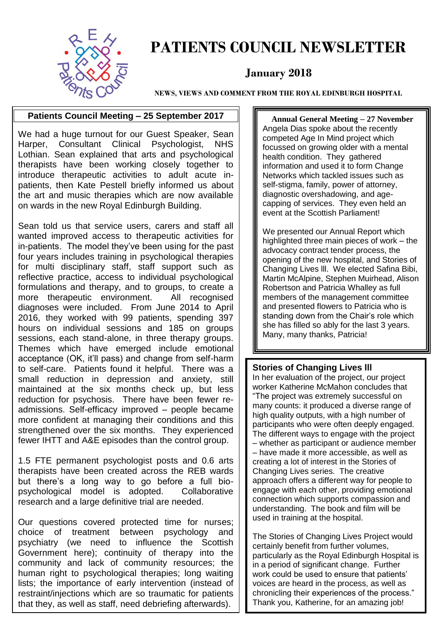

### **PATIENTS COUNCIL NEWSLETTER**

#### **January 2018**

**NEWS, VIEWS AND COMMENT FROM THE ROYAL EDINBURGH HOSPITAL**

#### **Patients Council Meeting – 25 September 2017**

We had a huge turnout for our Guest Speaker, Sean Harper, Consultant Clinical Psychologist, NHS Lothian. Sean explained that arts and psychological therapists have been working closely together to introduce therapeutic activities to adult acute inpatients, then Kate Pestell briefly informed us about the art and music therapies which are now available on wards in the new Royal Edinburgh Building.

Sean told us that service users, carers and staff all wanted improved access to therapeutic activities for in-patients. The model they've been using for the past four years includes training in psychological therapies for multi disciplinary staff, staff support such as reflective practice, access to individual psychological formulations and therapy, and to groups, to create a more therapeutic environment. All recognised diagnoses were included. From June 2014 to April 2016, they worked with 99 patients, spending 397 hours on individual sessions and 185 on groups sessions, each stand-alone, in three therapy groups. Themes which have emerged include emotional acceptance (OK, it'll pass) and change from self-harm to self-care. Patients found it helpful. There was a small reduction in depression and anxiety, still maintained at the six months check up, but less reduction for psychosis. There have been fewer readmissions. Self-efficacy improved – people became more confident at managing their conditions and this strengthened over the six months. They experienced fewer IHTT and A&E episodes than the control group.

1.5 FTE permanent psychologist posts and 0.6 arts therapists have been created across the REB wards but there's a long way to go before a full biopsychological model is adopted. Collaborative research and a large definitive trial are needed.

Our questions covered protected time for nurses; choice of treatment between psychology and psychiatry (we need to influence the Scottish Government here); continuity of therapy into the community and lack of community resources; the human right to psychological therapies; long waiting lists; the importance of early intervention (instead of restraint/injections which are so traumatic for patients that they, as well as staff, need debriefing afterwards).

 **Annual General Meeting – 27 November**  Angela Dias spoke about the recently competed Age In Mind project which focussed on growing older with a mental health condition. They gathered information and used it to form Change Networks which tackled issues such as self-stigma, family, power of attorney, diagnostic overshadowing, and agecapping of services. They even held an event at the Scottish Parliament!

We presented our Annual Report which highlighted three main pieces of work – the advocacy contract tender process, the opening of the new hospital, and Stories of Changing Lives lll. We elected Safina Bibi, Martin McAlpine, Stephen Muirhead, Alison Robertson and Patricia Whalley as full members of the management committee and presented flowers to Patricia who is standing down from the Chair's role which she has filled so ably for the last 3 years. Many, many thanks, Patricia!

#### **Stories of Changing Lives lll**

In her evaluation of the project, our project worker Katherine McMahon concludes that "The project was extremely successful on many counts: it produced a diverse range of high quality outputs, with a high number of participants who were often deeply engaged. The different ways to engage with the project – whether as participant or audience member – have made it more accessible, as well as creating a lot of interest in the Stories of Changing Lives series. The creative approach offers a different way for people to engage with each other, providing emotional connection which supports compassion and understanding. The book and film will be used in training at the hospital.

The Stories of Changing Lives Project would certainly benefit from further volumes, particularly as the Royal Edinburgh Hospital is in a period of significant change. Further work could be used to ensure that patients' voices are heard in the process, as well as chronicling their experiences of the process." Thank you, Katherine, for an amazing job!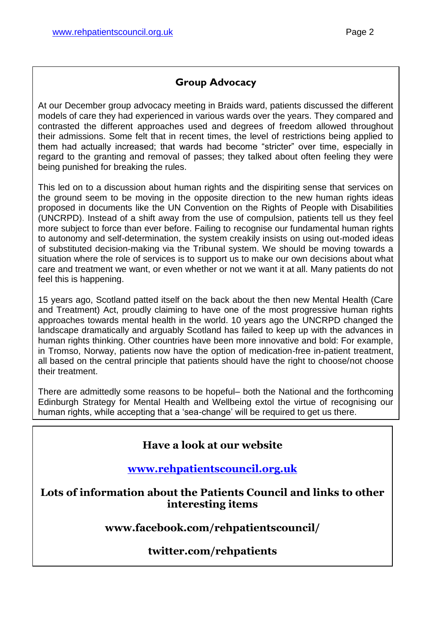#### **Group Advocacy**

At our December group advocacy meeting in Braids ward, patients discussed the different models of care they had experienced in various wards over the years. They compared and contrasted the different approaches used and degrees of freedom allowed throughout their admissions. Some felt that in recent times, the level of restrictions being applied to them had actually increased; that wards had become "stricter" over time, especially in regard to the granting and removal of passes; they talked about often feeling they were being punished for breaking the rules.

This led on to a discussion about human rights and the dispiriting sense that services on the ground seem to be moving in the opposite direction to the new human rights ideas proposed in documents like the UN Convention on the Rights of People with Disabilities (UNCRPD). Instead of a shift away from the use of compulsion, patients tell us they feel more subject to force than ever before. Failing to recognise our fundamental human rights to autonomy and self-determination, the system creakily insists on using out-moded ideas of substituted decision-making via the Tribunal system. We should be moving towards a situation where the role of services is to support us to make our own decisions about what care and treatment we want, or even whether or not we want it at all. Many patients do not feel this is happening.

15 years ago, Scotland patted itself on the back about the then new Mental Health (Care and Treatment) Act, proudly claiming to have one of the most progressive human rights approaches towards mental health in the world. 10 years ago the UNCRPD changed the landscape dramatically and arguably Scotland has failed to keep up with the advances in human rights thinking. Other countries have been more innovative and bold: For example, in Tromso, Norway, patients now have the option of medication-free in-patient treatment, all based on the central principle that patients should have the right to choose/not choose their treatment.

There are admittedly some reasons to be hopeful– both the National and the forthcoming Edinburgh Strategy for Mental Health and Wellbeing extol the virtue of recognising our human rights, while accepting that a 'sea-change' will be required to get us there.

#### **Have a look at our website**

#### **[www.rehpatientscouncil.org.uk](http://www.rehpatientscouncil.org.uk/)**

**Lots of information about the Patients Council and links to other interesting items**

**www.facebook.com/rehpatientscouncil/**

#### **twitter.com/rehpatients**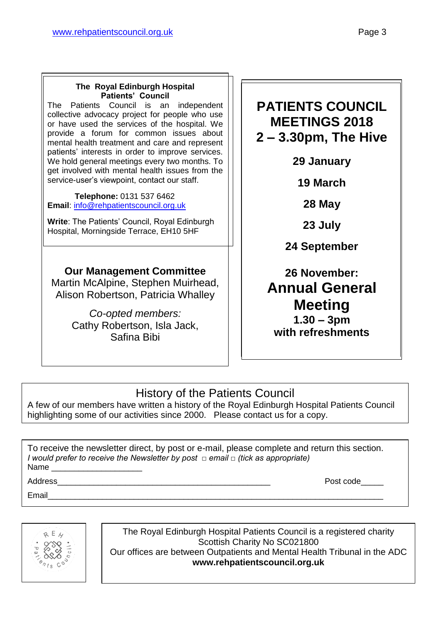#### **The Royal Edinburgh Hospital Patients' Council**

The Patients Council is an independent collective advocacy project for people who use or have used the services of the hospital. We provide a forum for common issues about mental health treatment and care and represent patients' interests in order to improve services. We hold general meetings every two months. To get involved with mental health issues from the service-user's viewpoint, contact our staff.

 **Telephone:** 0131 537 6462 **Email**: [info@rehpatientscouncil.org.uk](mailto:info@rehpatientscouncil.org.uk)

**Write**: The Patients' Council, Royal Edinburgh Hospital, Morningside Terrace, EH10 5HF

#### **Our Management Committee**

Martin McAlpine, Stephen Muirhead, Alison Robertson, Patricia Whalley

> *Co-opted members:* Cathy Robertson, Isla Jack, Safina Bibi

#### **PATIENTS COUNCIL MEETINGS 2018 2 – 3.30pm, The Hive**

**29 January**

**19 March**

**28 May**

**23 July**

**24 September**

**26 November: Annual General Meeting 1.30 – 3pm with refreshments**

#### History of the Patients Council

A few of our members have written a history of the Royal Edinburgh Hospital Patients Council highlighting some of our activities since 2000. Please contact us for a copy.

To receive the newsletter direct, by post or e-mail, please complete and return this section. *I would prefer to receive the Newsletter by post □ email □ (tick as appropriate)* Name

Email\_\_\_\_\_\_\_\_\_\_\_\_\_\_\_\_\_\_\_\_\_\_\_\_\_\_\_\_\_\_\_\_\_\_\_\_\_\_\_\_\_\_\_\_\_\_\_\_\_\_\_\_\_\_\_\_\_\_\_\_\_\_\_\_\_\_\_\_\_\_\_\_\_\_

 $R E$ 

The Royal Edinburgh Hospital Patients Council is a registered charity Scottish Charity No SC021800 Our offices are between Outpatients and Mental Health Tribunal in the ADC **www.rehpatientscouncil.org.uk**

Address **Address Post code**